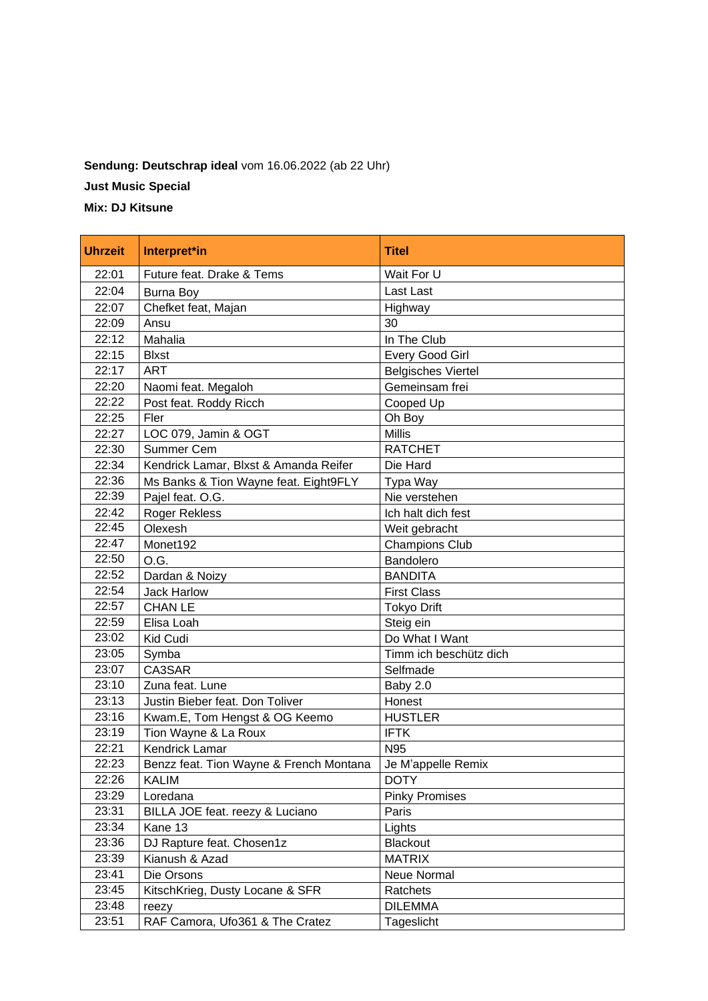## **Sendung: Deutschrap ideal** vom 16.06.2022 (ab 22 Uhr) **Just Music Special**

**Mix: DJ Kitsune**

| <b>Uhrzeit</b> | Interpret*in                            | <b>Titel</b>              |
|----------------|-----------------------------------------|---------------------------|
| 22:01          | Future feat. Drake & Tems               | Wait For U                |
| 22:04          | <b>Burna Boy</b>                        | Last Last                 |
| 22:07          | Chefket feat, Majan                     | Highway                   |
| 22:09          | Ansu                                    | 30                        |
| 22:12          | Mahalia                                 | In The Club               |
| 22:15          | <b>Blxst</b>                            | Every Good Girl           |
| 22:17          | <b>ART</b>                              | <b>Belgisches Viertel</b> |
| 22:20          | Naomi feat. Megaloh                     | Gemeinsam frei            |
| 22:22          | Post feat. Roddy Ricch                  | Cooped Up                 |
| 22:25          | Fler                                    | Oh Boy                    |
| 22:27          | LOC 079, Jamin & OGT                    | <b>Millis</b>             |
| 22:30          | Summer Cem                              | <b>RATCHET</b>            |
| 22:34          | Kendrick Lamar, Blxst & Amanda Reifer   | Die Hard                  |
| 22:36          | Ms Banks & Tion Wayne feat. Eight9FLY   | Typa Way                  |
| 22:39          | Pajel feat. O.G.                        | Nie verstehen             |
| 22:42          | <b>Roger Rekless</b>                    | Ich halt dich fest        |
| 22:45          | Olexesh                                 | Weit gebracht             |
| 22:47          | Monet192                                | <b>Champions Club</b>     |
| 22:50          | O.G.                                    | Bandolero                 |
| 22:52          | Dardan & Noizy                          | <b>BANDITA</b>            |
| 22:54          | <b>Jack Harlow</b>                      | <b>First Class</b>        |
| 22:57          | <b>CHAN LE</b>                          | <b>Tokyo Drift</b>        |
| 22:59          | Elisa Loah                              | Steig ein                 |
| 23:02          | Kid Cudi                                | Do What I Want            |
| 23:05          | Symba                                   | Timm ich beschütz dich    |
| 23:07          | CA3SAR                                  | Selfmade                  |
| 23:10          | Zuna feat. Lune                         | Baby 2.0                  |
| 23:13          | Justin Bieber feat. Don Toliver         | Honest                    |
| 23:16          | Kwam.E, Tom Hengst & OG Keemo           | <b>HUSTLER</b>            |
| 23:19          | Tion Wayne & La Roux                    | <b>IFTK</b>               |
| 22:21          | <b>Kendrick Lamar</b>                   | N95                       |
| 22:23          | Benzz feat. Tion Wayne & French Montana | Je M'appelle Remix        |
| 22:26          | KALIM                                   | <b>DOTY</b>               |
| 23:29          | Loredana                                | <b>Pinky Promises</b>     |
| 23:31          | BILLA JOE feat. reezy & Luciano         | Paris                     |
| 23:34          | Kane 13                                 | Lights                    |
| 23:36          | DJ Rapture feat. Chosen1z               | <b>Blackout</b>           |
| 23:39          | Kianush & Azad                          | <b>MATRIX</b>             |
| 23:41          | Die Orsons                              | Neue Normal               |
| 23:45          | KitschKrieg, Dusty Locane & SFR         | Ratchets                  |
| 23:48          | reezy                                   | <b>DILEMMA</b>            |
| 23:51          | RAF Camora, Ufo361 & The Cratez         | Tageslicht                |